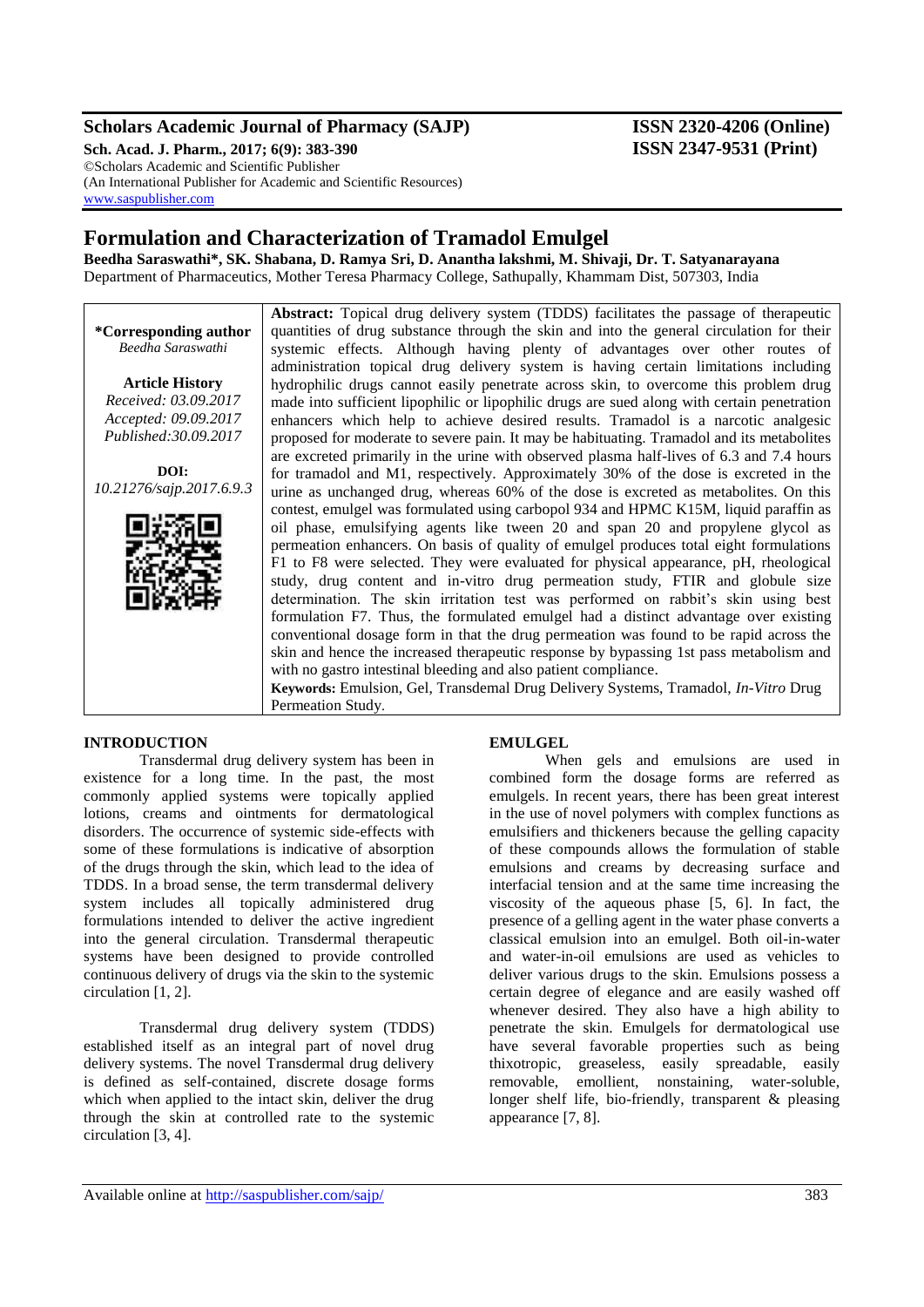## **Scholars Academic Journal of Pharmacy (SAJP) ISSN 2320-4206 (Online)**

**Sch. Acad. J. Pharm., 2017; 6(9): 383-390 ISSN 2347-9531 (Print)** ©Scholars Academic and Scientific Publisher (An International Publisher for Academic and Scientific Resources) [www.saspublisher.com](http://www.saspublisher.com/)

# **Formulation and Characterization of Tramadol Emulgel**

**Beedha Saraswathi\*, SK. Shabana, D. Ramya Sri, D. Anantha lakshmi, M. Shivaji, Dr. T. Satyanarayana** Department of Pharmaceutics, Mother Teresa Pharmacy College, Sathupally, Khammam Dist, 507303, India

**\*Corresponding author** *Beedha Saraswathi* **Article History** *Received: 03.09.2017 Accepted: 09.09.2017 Published:30.09.2017* **DOI:** *10.21276/sajp.2017.6.9.3* **Abstract:** Topical drug delivery system (TDDS) facilitates the passage of therapeutic quantities of drug substance through the skin and into the general circulation for their systemic effects. Although having plenty of advantages over other routes of administration topical drug delivery system is having certain limitations including hydrophilic drugs cannot easily penetrate across skin, to overcome this problem drug made into sufficient lipophilic or lipophilic drugs are sued along with certain penetration enhancers which help to achieve desired results. Tramadol is a narcotic analgesic proposed for moderate to severe pain. It may be habituating. Tramadol and its metabolites are excreted primarily in the urine with observed plasma half-lives of 6.3 and 7.4 hours for tramadol and M1, respectively. Approximately 30% of the dose is excreted in the urine as unchanged drug, whereas 60% of the dose is excreted as metabolites. On this contest, emulgel was formulated using carbopol 934 and HPMC K15M, liquid paraffin as oil phase, emulsifying agents like tween 20 and span 20 and propylene glycol as permeation enhancers. On basis of quality of emulgel produces total eight formulations F1 to F8 were selected. They were evaluated for physical appearance, pH, rheological study, drug content and in-vitro drug permeation study, FTIR and globule size determination. The skin irritation test was performed on rabbit's skin using best formulation F7. Thus, the formulated emulgel had a distinct advantage over existing conventional dosage form in that the drug permeation was found to be rapid across the skin and hence the increased therapeutic response by bypassing 1st pass metabolism and with no gastro intestinal bleeding and also patient compliance. **Keywords:** Emulsion, Gel, Transdemal Drug Delivery Systems, Tramadol, *In-Vitro* Drug Permeation Study.

## **INTRODUCTION**

Transdermal drug delivery system has been in existence for a long time. In the past, the most commonly applied systems were topically applied lotions, creams and ointments for dermatological disorders. The occurrence of systemic side-effects with some of these formulations is indicative of absorption of the drugs through the skin, which lead to the idea of TDDS. In a broad sense, the term transdermal delivery system includes all topically administered drug formulations intended to deliver the active ingredient into the general circulation. Transdermal therapeutic systems have been designed to provide controlled continuous delivery of drugs via the skin to the systemic circulation [1, 2].

Transdermal drug delivery system (TDDS) established itself as an integral part of novel drug delivery systems. The novel Transdermal drug delivery is defined as self-contained, discrete dosage forms which when applied to the intact skin, deliver the drug through the skin at controlled rate to the systemic circulation [3, 4].

## **EMULGEL**

When gels and emulsions are used in combined form the dosage forms are referred as emulgels. In recent years, there has been great interest in the use of novel polymers with complex functions as emulsifiers and thickeners because the gelling capacity of these compounds allows the formulation of stable emulsions and creams by decreasing surface and interfacial tension and at the same time increasing the viscosity of the aqueous phase [5, 6]. In fact, the presence of a gelling agent in the water phase converts a classical emulsion into an emulgel. Both oil-in-water and water-in-oil emulsions are used as vehicles to deliver various drugs to the skin. Emulsions possess a certain degree of elegance and are easily washed off whenever desired. They also have a high ability to penetrate the skin. Emulgels for dermatological use have several favorable properties such as being thixotropic, greaseless, easily spreadable, easily removable, emollient, nonstaining, water-soluble, longer shelf life, bio-friendly, transparent & pleasing appearance [7, 8].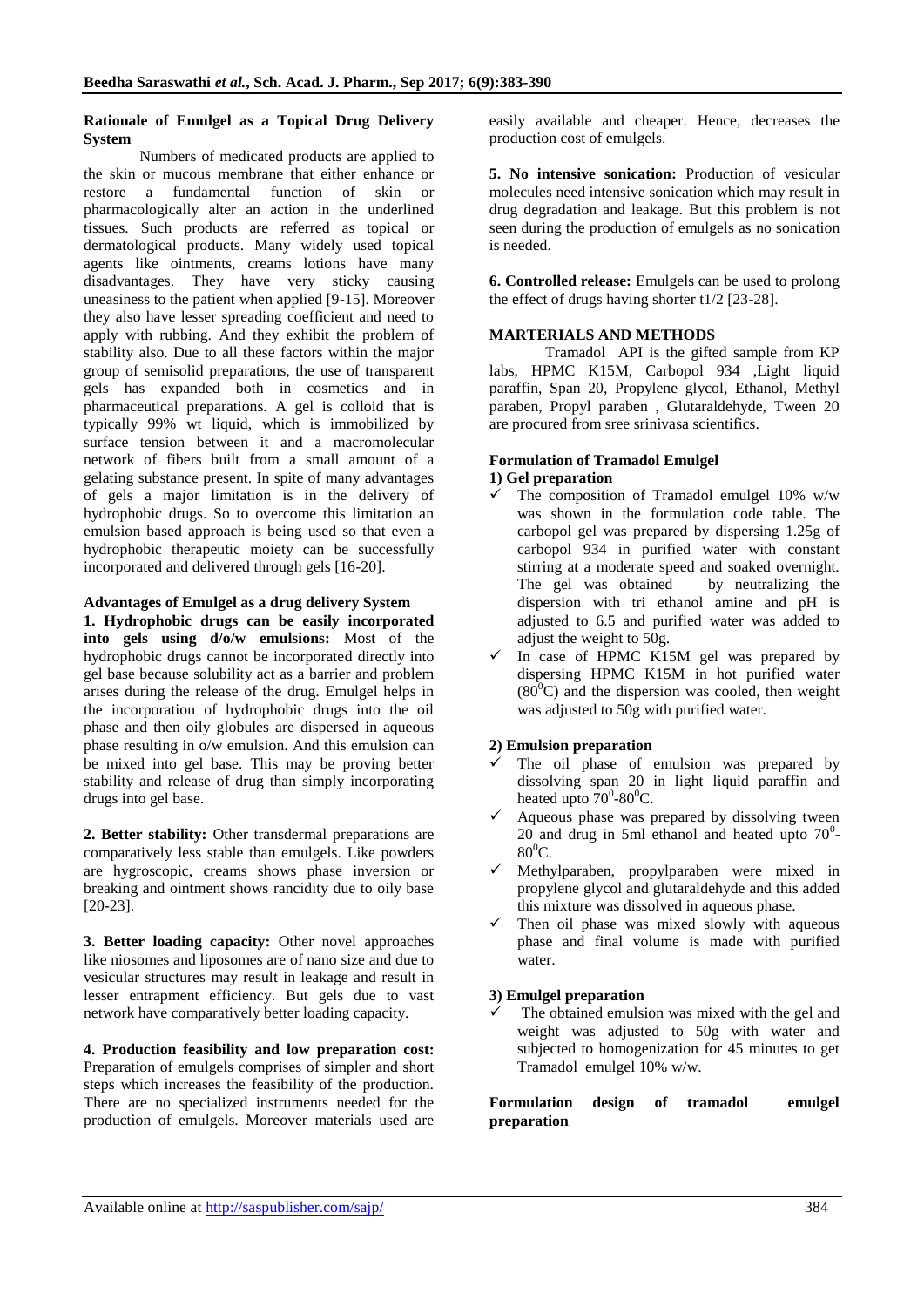#### **Rationale of Emulgel as a Topical Drug Delivery System**

Numbers of medicated products are applied to the skin or mucous membrane that either enhance or restore a fundamental function of skin or pharmacologically alter an action in the underlined tissues. Such products are referred as topical or dermatological products. Many widely used topical agents like ointments, creams lotions have many disadvantages. They have very sticky causing uneasiness to the patient when applied [9-15]. Moreover they also have lesser spreading coefficient and need to apply with rubbing. And they exhibit the problem of stability also. Due to all these factors within the major group of semisolid preparations, the use of transparent gels has expanded both in cosmetics and in pharmaceutical preparations. A gel is colloid that is typically 99% wt liquid, which is immobilized by surface tension between it and a macromolecular network of fibers built from a small amount of a gelating substance present. In spite of many advantages of gels a major limitation is in the delivery of hydrophobic drugs. So to overcome this limitation an emulsion based approach is being used so that even a hydrophobic therapeutic moiety can be successfully incorporated and delivered through gels [16-20].

## **Advantages of Emulgel as a drug delivery System**

**1. Hydrophobic drugs can be easily incorporated into gels using d/o/w emulsions:** Most of the hydrophobic drugs cannot be incorporated directly into gel base because solubility act as a barrier and problem arises during the release of the drug. Emulgel helps in the incorporation of hydrophobic drugs into the oil phase and then oily globules are dispersed in aqueous phase resulting in o/w emulsion. And this emulsion can be mixed into gel base. This may be proving better stability and release of drug than simply incorporating drugs into gel base.

**2. Better stability:** Other transdermal preparations are comparatively less stable than emulgels. Like powders are hygroscopic, creams shows phase inversion or breaking and ointment shows rancidity due to oily base [20-23].

**3. Better loading capacity:** Other novel approaches like niosomes and liposomes are of nano size and due to vesicular structures may result in leakage and result in lesser entrapment efficiency. But gels due to vast network have comparatively better loading capacity.

**4. Production feasibility and low preparation cost:** Preparation of emulgels comprises of simpler and short steps which increases the feasibility of the production. There are no specialized instruments needed for the production of emulgels. Moreover materials used are

easily available and cheaper. Hence, decreases the production cost of emulgels.

**5. No intensive sonication:** Production of vesicular molecules need intensive sonication which may result in drug degradation and leakage. But this problem is not seen during the production of emulgels as no sonication is needed.

**6. Controlled release:** Emulgels can be used to prolong the effect of drugs having shorter t1/2 [23-28].

#### **MARTERIALS AND METHODS**

Tramadol API is the gifted sample from KP labs, HPMC K15M, Carbopol 934 ,Light liquid paraffin, Span 20, Propylene glycol, Ethanol, Methyl paraben, Propyl paraben , Glutaraldehyde, Tween 20 are procured from sree srinivasa scientifics.

## **Formulation of Tramadol Emulgel**

#### **1) Gel preparation**

- $\checkmark$  The composition of Tramadol emulgel 10% w/w was shown in the formulation code table. The carbopol gel was prepared by dispersing 1.25g of carbopol 934 in purified water with constant stirring at a moderate speed and soaked overnight. The gel was obtained by neutralizing the dispersion with tri ethanol amine and pH is adjusted to 6.5 and purified water was added to adjust the weight to 50g.
- In case of HPMC K15M gel was prepared by dispersing HPMC K15M in hot purified water  $(80^0C)$  and the dispersion was cooled, then weight was adjusted to 50g with purified water.

#### **2) Emulsion preparation**

- The oil phase of emulsion was prepared by dissolving span 20 in light liquid paraffin and heated upto  $70^0$ -80 $^0$ C.
- Aqueous phase was prepared by dissolving tween  $20$  and drug in 5ml ethanol and heated upto  $70^0$ - $80^0C$ .
- Methylparaben, propylparaben were mixed in propylene glycol and glutaraldehyde and this added this mixture was dissolved in aqueous phase.
- Then oil phase was mixed slowly with aqueous phase and final volume is made with purified water.

#### **3) Emulgel preparation**

 The obtained emulsion was mixed with the gel and weight was adjusted to 50g with water and subjected to homogenization for 45 minutes to get Tramadol emulgel 10% w/w.

**Formulation design of tramadol emulgel preparation**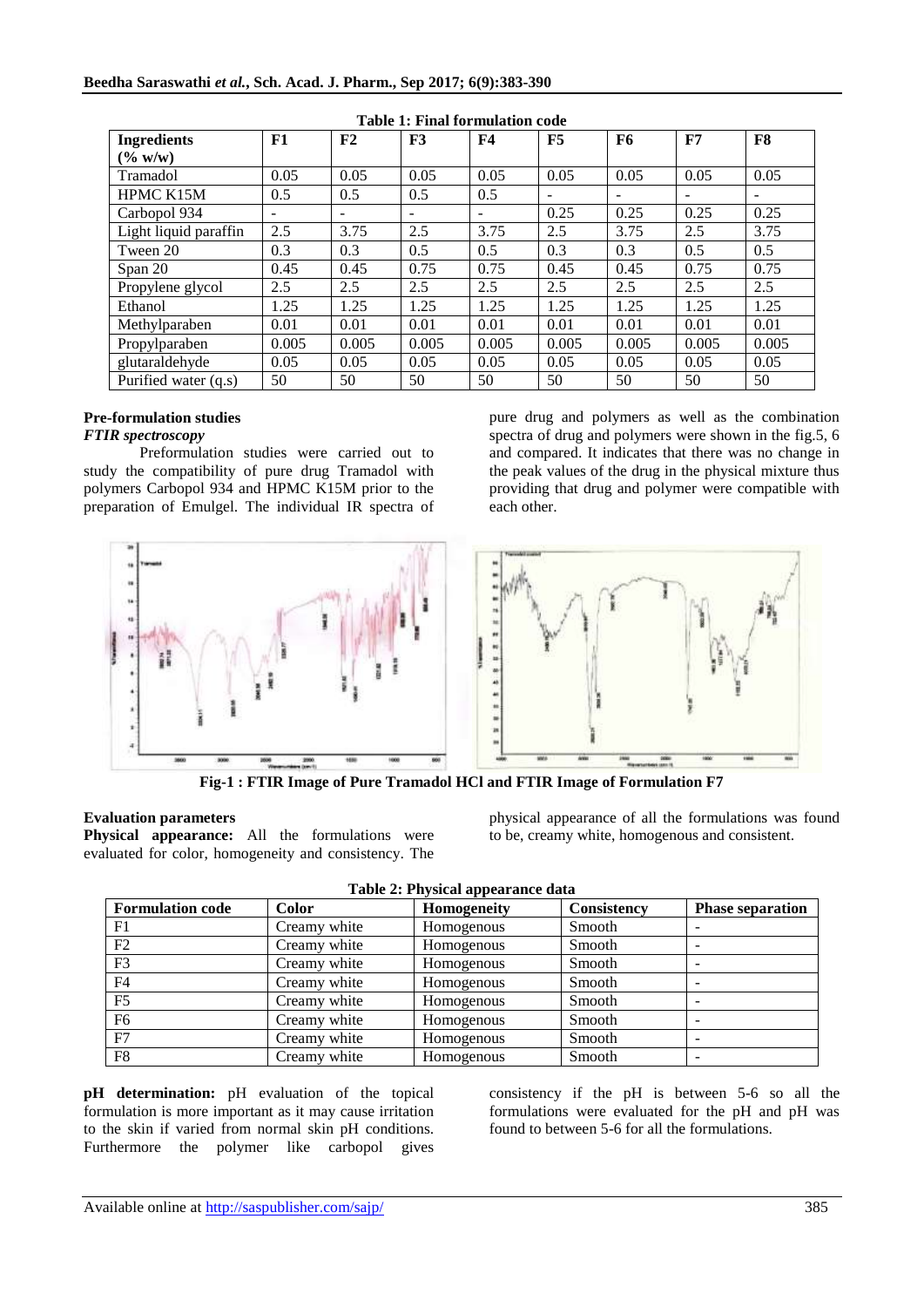| <b>Ingredients</b>    | F1                       | F2                       | F3                       | F4                       | F5                       | F6    | F7    | F8                       |
|-----------------------|--------------------------|--------------------------|--------------------------|--------------------------|--------------------------|-------|-------|--------------------------|
| $(\% w/w)$            |                          |                          |                          |                          |                          |       |       |                          |
| Tramadol              | 0.05                     | 0.05                     | 0.05                     | 0.05                     | 0.05                     | 0.05  | 0.05  | 0.05                     |
| <b>HPMC K15M</b>      | 0.5                      | 0.5                      | 0.5                      | 0.5                      | $\overline{\phantom{a}}$ |       |       | $\overline{\phantom{a}}$ |
| Carbopol 934          | $\overline{\phantom{a}}$ | $\overline{\phantom{a}}$ | $\overline{\phantom{0}}$ | $\overline{\phantom{a}}$ | 0.25                     | 0.25  | 0.25  | 0.25                     |
| Light liquid paraffin | 2.5                      | 3.75                     | 2.5                      | 3.75                     | 2.5                      | 3.75  | 2.5   | 3.75                     |
| Tween 20              | 0.3                      | 0.3                      | 0.5                      | 0.5                      | 0.3                      | 0.3   | 0.5   | 0.5                      |
| Span 20               | 0.45                     | 0.45                     | 0.75                     | 0.75                     | 0.45                     | 0.45  | 0.75  | 0.75                     |
| Propylene glycol      | 2.5                      | 2.5                      | 2.5                      | 2.5                      | 2.5                      | 2.5   | 2.5   | 2.5                      |
| Ethanol               | 1.25                     | 1.25                     | 1.25                     | 1.25                     | 1.25                     | 1.25  | 1.25  | 1.25                     |
| Methylparaben         | 0.01                     | 0.01                     | 0.01                     | 0.01                     | 0.01                     | 0.01  | 0.01  | 0.01                     |
| Propylparaben         | 0.005                    | 0.005                    | 0.005                    | 0.005                    | 0.005                    | 0.005 | 0.005 | 0.005                    |
| glutaraldehyde        | 0.05                     | 0.05                     | 0.05                     | 0.05                     | 0.05                     | 0.05  | 0.05  | 0.05                     |
| Purified water (q.s)  | 50                       | 50                       | 50                       | 50                       | 50                       | 50    | 50    | 50                       |

#### **Table 1: Final formulation code**

## **Pre-formulation studies**

### *FTIR spectroscopy*

Preformulation studies were carried out to study the compatibility of pure drug Tramadol with polymers Carbopol 934 and HPMC K15M prior to the preparation of Emulgel. The individual IR spectra of



pure drug and polymers as well as the combination spectra of drug and polymers were shown in the fig.5, 6 and compared. It indicates that there was no change in the peak values of the drug in the physical mixture thus providing that drug and polymer were compatible with each other.



**Fig-1 : FTIR Image of Pure Tramadol HCl and FTIR Image of Formulation F7**

#### **Evaluation parameters**

**Physical appearance:** All the formulations were evaluated for color, homogeneity and consistency. The physical appearance of all the formulations was found to be, creamy white, homogenous and consistent.

| <b>Formulation code</b> | <b>Color</b> | <b>Homogeneity</b> | Consistency | <b>Phase separation</b> |
|-------------------------|--------------|--------------------|-------------|-------------------------|
| F1                      | Creamy white | Homogenous         | Smooth      |                         |
| F2                      | Creamy white | Homogenous         | Smooth      |                         |
| F <sub>3</sub>          | Creamy white | Homogenous         | Smooth      |                         |
| F <sub>4</sub>          | Creamy white | Homogenous         | Smooth      |                         |
| F <sub>5</sub>          | Creamy white | Homogenous         | Smooth      |                         |
| F <sub>6</sub>          | Creamy white | Homogenous         | Smooth      |                         |
| F7                      | Creamy white | Homogenous         | Smooth      |                         |
| F <sub>8</sub>          | Creamy white | Homogenous         | Smooth      |                         |

**Table 2: Physical appearance data**

**pH determination:** pH evaluation of the topical formulation is more important as it may cause irritation to the skin if varied from normal skin pH conditions. Furthermore the polymer like carbopol gives

consistency if the pH is between 5-6 so all the formulations were evaluated for the pH and pH was found to between 5-6 for all the formulations.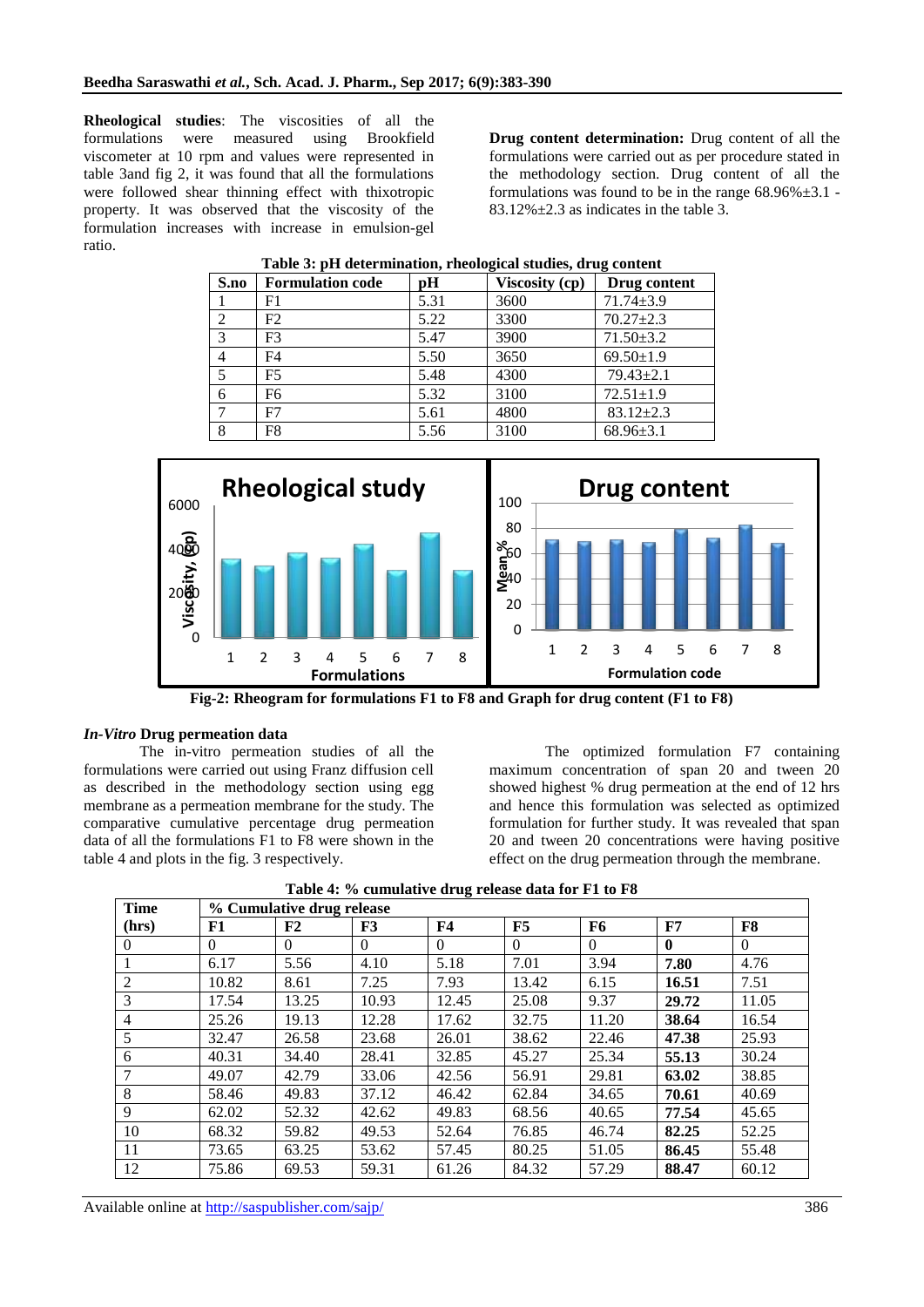**Rheological studies**: The viscosities of all the formulations were measured using Brookfield viscometer at 10 rpm and values were represented in table 3and fig 2, it was found that all the formulations were followed shear thinning effect with thixotropic property. It was observed that the viscosity of the formulation increases with increase in emulsion-gel ratio.

**Drug content determination:** Drug content of all the formulations were carried out as per procedure stated in the methodology section. Drug content of all the formulations was found to be in the range  $68.96\% \pm 3.1$  - $83.12\% \pm 2.3$  as indicates in the table 3.

| S.no           | <b>Formulation code</b> | pН   | Viscosity (cp) | Drug content    |
|----------------|-------------------------|------|----------------|-----------------|
|                | F1                      | 5.31 | 3600           | $71.74 \pm 3.9$ |
| 2              | F2                      | 5.22 | 3300           | $70.27 \pm 2.3$ |
| 3              | F <sub>3</sub>          | 5.47 | 3900           | $71.50 \pm 3.2$ |
| $\overline{4}$ | F4                      | 5.50 | 3650           | $69.50 \pm 1.9$ |
| 5              | F <sub>5</sub>          | 5.48 | 4300           | $79.43 \pm 2.1$ |
| 6              | F <sub>6</sub>          | 5.32 | 3100           | $72.51 \pm 1.9$ |
|                | F7                      | 5.61 | 4800           | $83.12 \pm 2.3$ |
| 8              | F8                      | 5.56 | 3100           | $68.96 \pm 3.1$ |

#### **Table 3: pH determination, rheological studies, drug content**



**Fig-2: Rheogram for formulations F1 to F8 and Graph for drug content (F1 to F8)**

#### *In-Vitro* **Drug permeation data**

The in-vitro permeation studies of all the formulations were carried out using Franz diffusion cell as described in the methodology section using egg membrane as a permeation membrane for the study. The comparative cumulative percentage drug permeation data of all the formulations F1 to F8 were shown in the table 4 and plots in the fig. 3 respectively.

The optimized formulation F7 containing maximum concentration of span 20 and tween 20 showed highest % drug permeation at the end of 12 hrs and hence this formulation was selected as optimized formulation for further study. It was revealed that span 20 and tween 20 concentrations were having positive effect on the drug permeation through the membrane.

| <b>Time</b>    | % Cumulative drug release |          |          |          |          |          |              |          |
|----------------|---------------------------|----------|----------|----------|----------|----------|--------------|----------|
| (hrs)          | F1                        | F2       | F3       | F4       | F5       | F6       | F7           | F8       |
| $\Omega$       | $\theta$                  | $\Omega$ | $\Omega$ | $\Omega$ | $\Omega$ | $\Omega$ | $\mathbf{0}$ | $\theta$ |
|                | 6.17                      | 5.56     | 4.10     | 5.18     | 7.01     | 3.94     | 7.80         | 4.76     |
| $\overline{2}$ | 10.82                     | 8.61     | 7.25     | 7.93     | 13.42    | 6.15     | 16.51        | 7.51     |
| 3              | 17.54                     | 13.25    | 10.93    | 12.45    | 25.08    | 9.37     | 29.72        | 11.05    |
| $\overline{4}$ | 25.26                     | 19.13    | 12.28    | 17.62    | 32.75    | 11.20    | 38.64        | 16.54    |
| 5              | 32.47                     | 26.58    | 23.68    | 26.01    | 38.62    | 22.46    | 47.38        | 25.93    |
| 6              | 40.31                     | 34.40    | 28.41    | 32.85    | 45.27    | 25.34    | 55.13        | 30.24    |
| 7              | 49.07                     | 42.79    | 33.06    | 42.56    | 56.91    | 29.81    | 63.02        | 38.85    |
| 8              | 58.46                     | 49.83    | 37.12    | 46.42    | 62.84    | 34.65    | 70.61        | 40.69    |
| 9              | 62.02                     | 52.32    | 42.62    | 49.83    | 68.56    | 40.65    | 77.54        | 45.65    |
| 10             | 68.32                     | 59.82    | 49.53    | 52.64    | 76.85    | 46.74    | 82.25        | 52.25    |
| 11             | 73.65                     | 63.25    | 53.62    | 57.45    | 80.25    | 51.05    | 86.45        | 55.48    |
| 12             | 75.86                     | 69.53    | 59.31    | 61.26    | 84.32    | 57.29    | 88.47        | 60.12    |

**Table 4: % cumulative drug release data for F1 to F8**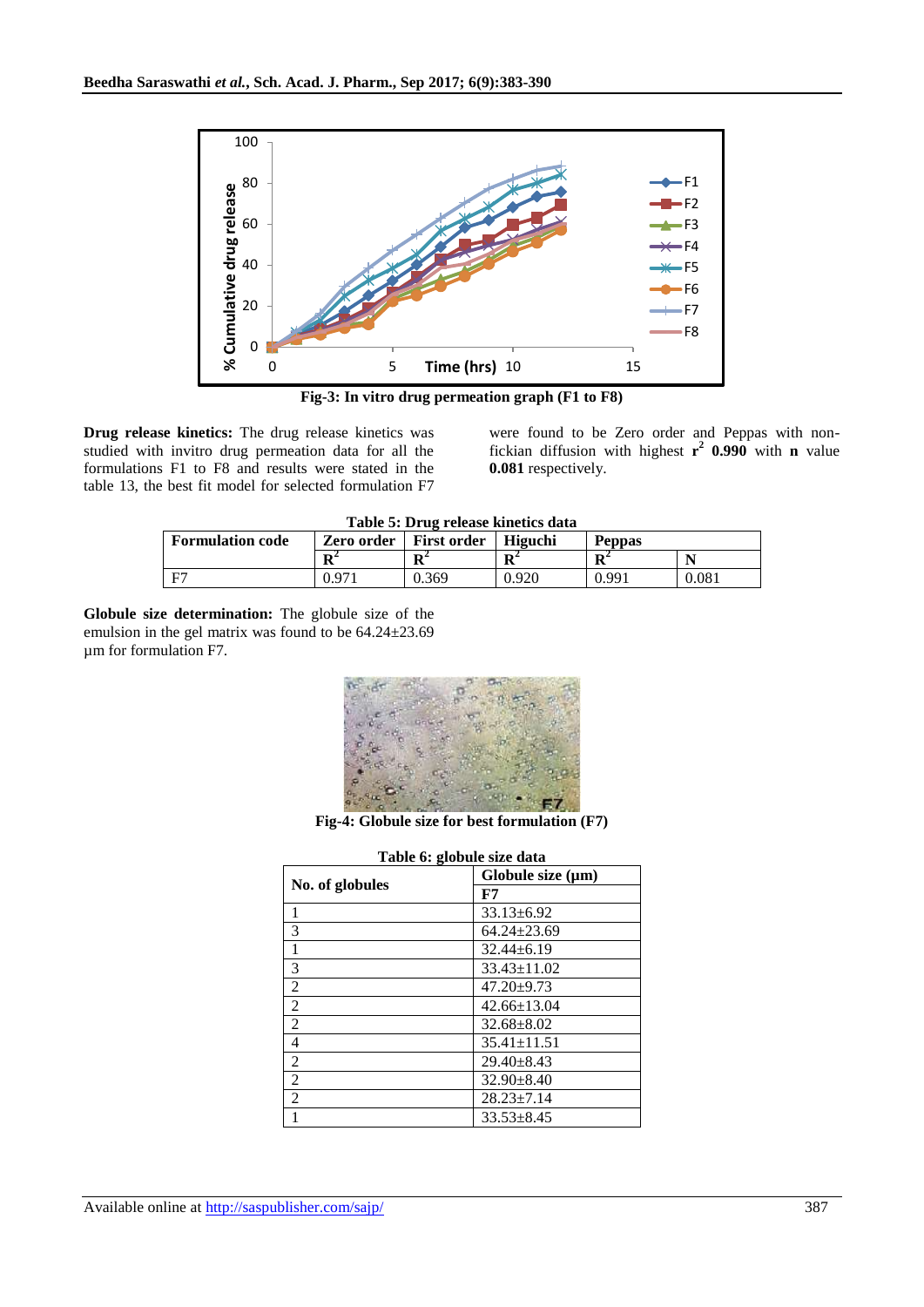

**Fig-3: In vitro drug permeation graph (F1 to F8)**

**Drug release kinetics:** The drug release kinetics was studied with invitro drug permeation data for all the formulations F1 to F8 and results were stated in the table 13, the best fit model for selected formulation F7 were found to be Zero order and Peppas with nonfickian diffusion with highest  $r^2$  0.990 with **n** value **0.081** respectively.

| <b>Formulation code</b> | Zero order          | <b>First order</b> | <b>Higuchi</b> | <b>Peppas</b>    |             |
|-------------------------|---------------------|--------------------|----------------|------------------|-------------|
|                         | D <sup>2</sup><br>A | $\mathbf{R}^2$     | $\mathbf{R}^2$ | ${\bf p}^2$<br>л | N           |
| Е7                      | 97                  | 0.369              | 0.920          | 0.991            | $\rm 0.081$ |

**Globule size determination:** The globule size of the emulsion in the gel matrix was found to be 64.24±23.69 µm for formulation F7.



**Fig-4: Globule size for best formulation (F7)**

| Table 6: globule size data |                        |  |  |  |  |
|----------------------------|------------------------|--|--|--|--|
|                            | Globule size $(\mu m)$ |  |  |  |  |
| No. of globules            | F7                     |  |  |  |  |
| 1                          | $33.13 \pm 6.92$       |  |  |  |  |
| 3                          | $64.24 + 23.69$        |  |  |  |  |
| 1                          | $32.44 \pm 6.19$       |  |  |  |  |
| 3                          | $33.43 \pm 11.02$      |  |  |  |  |
| $\overline{2}$             | $47.20 \pm 9.73$       |  |  |  |  |
| $\overline{2}$             | $42.66 \pm 13.04$      |  |  |  |  |
| $\overline{2}$             | $32.68 \pm 8.02$       |  |  |  |  |
| 4                          | $35.41 \pm 11.51$      |  |  |  |  |
| $\overline{2}$             | $29.40 \pm 8.43$       |  |  |  |  |
| $\overline{2}$             | $32.90 \pm 8.40$       |  |  |  |  |
| $\overline{2}$             | $28.23 \pm 7.14$       |  |  |  |  |
|                            | $33.53 \pm 8.45$       |  |  |  |  |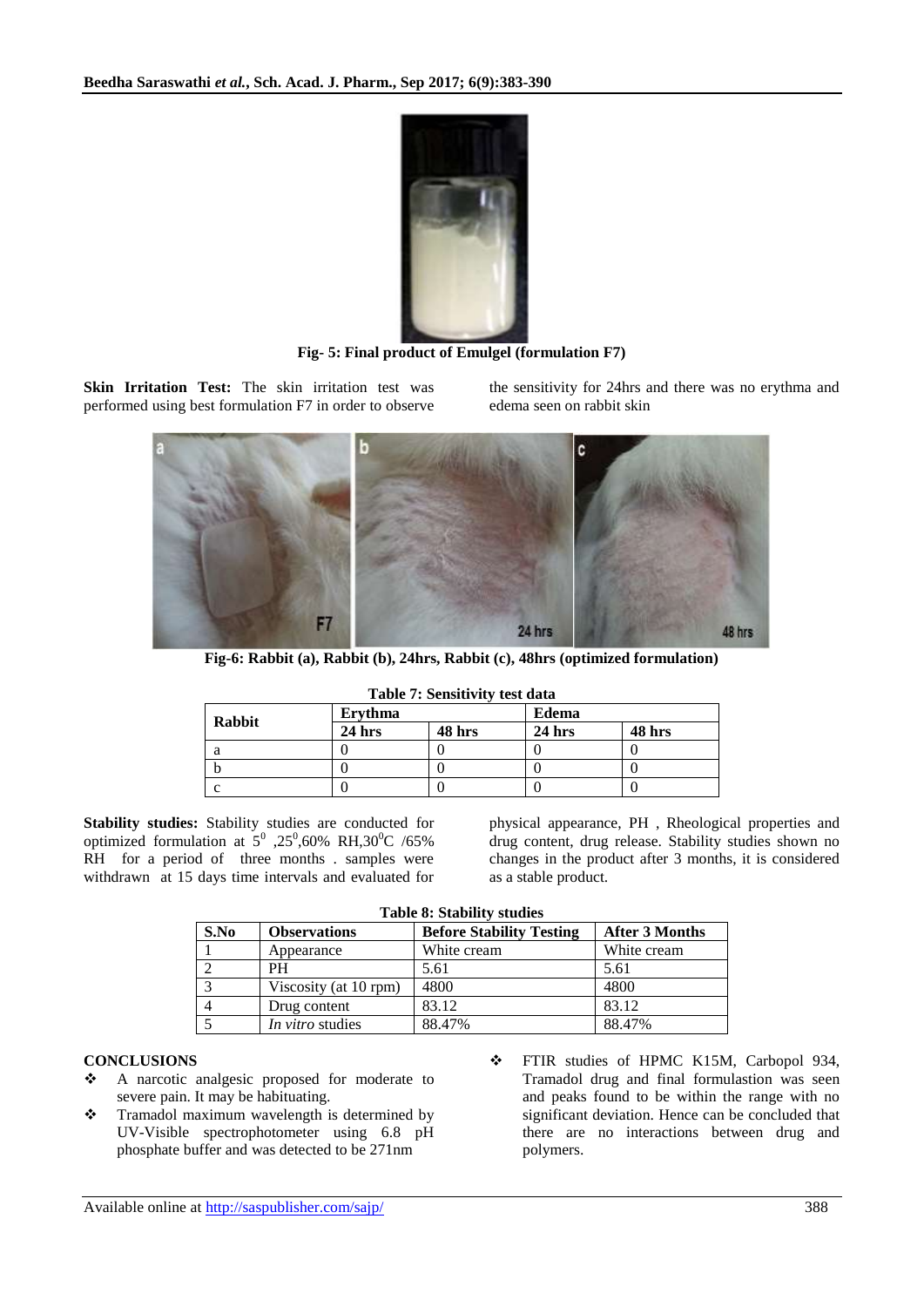

**Fig- 5: Final product of Emulgel (formulation F7)**

**Skin Irritation Test:** The skin irritation test was performed using best formulation F7 in order to observe

the sensitivity for 24hrs and there was no erythma and edema seen on rabbit skin



**Fig-6: Rabbit (a), Rabbit (b), 24hrs, Rabbit (c), 48hrs (optimized formulation)**

| <b>Table 7: Sensitivity test data</b> |          |        |          |        |  |  |
|---------------------------------------|----------|--------|----------|--------|--|--|
|                                       | Ervthma  |        | Edema    |        |  |  |
| Rabbit                                | $24$ hrs | 48 hrs | $24$ hrs | 48 hrs |  |  |
| а                                     |          |        |          |        |  |  |
|                                       |          |        |          |        |  |  |
| ◠                                     |          |        |          |        |  |  |

**Stability studies:** Stability studies are conducted for optimized formulation at  $5^{\circ}$ , 25<sup>0</sup>,60% RH,30<sup>o</sup>C /65% RH for a period of three months . samples were withdrawn at 15 days time intervals and evaluated for

physical appearance, PH , Rheological properties and drug content, drug release. Stability studies shown no changes in the product after 3 months, it is considered as a stable product.

**Table 8: Stability studies**

| S.No | <b>Observations</b>   | <b>Before Stability Testing</b> | <b>After 3 Months</b> |
|------|-----------------------|---------------------------------|-----------------------|
|      | Appearance            | White cream                     | White cream           |
|      | PН                    | 5.61                            | 5.61                  |
| ⌒    | Viscosity (at 10 rpm) | 4800                            | 4800                  |
|      | Drug content          | 83.12                           | 83.12                 |
|      | In vitro studies      | 88.47%                          | 88.47%                |

## **CONCLUSIONS**

- A narcotic analgesic proposed for moderate to severe pain. It may be habituating.
- \* Tramadol maximum wavelength is determined by UV-Visible spectrophotometer using 6.8 pH phosphate buffer and was detected to be 271nm
- FTIR studies of HPMC K15M, Carbopol 934, Tramadol drug and final formulastion was seen and peaks found to be within the range with no significant deviation. Hence can be concluded that there are no interactions between drug and polymers.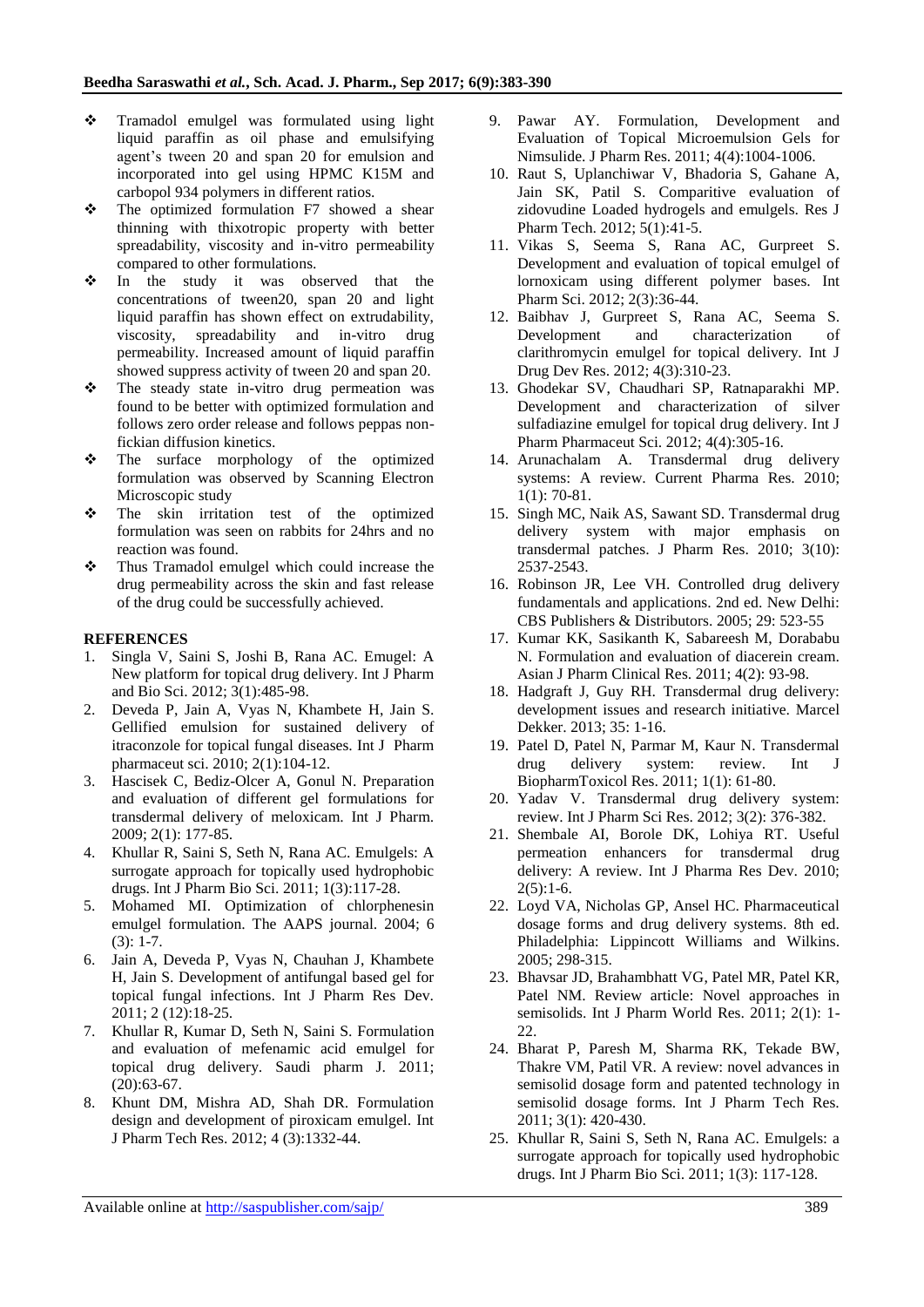- \* Tramadol emulgel was formulated using light liquid paraffin as oil phase and emulsifying agent's tween 20 and span 20 for emulsion and incorporated into gel using HPMC K15M and carbopol 934 polymers in different ratios.
- The optimized formulation F7 showed a shear thinning with thixotropic property with better spreadability, viscosity and in-vitro permeability compared to other formulations.
- In the study it was observed that the concentrations of tween20, span 20 and light liquid paraffin has shown effect on extrudability, viscosity, spreadability and in-vitro drug permeability. Increased amount of liquid paraffin showed suppress activity of tween 20 and span 20.
- The steady state in-vitro drug permeation was found to be better with optimized formulation and follows zero order release and follows peppas nonfickian diffusion kinetics.
- The surface morphology of the optimized formulation was observed by Scanning Electron Microscopic study
- The skin irritation test of the optimized formulation was seen on rabbits for 24hrs and no reaction was found.
- \* Thus Tramadol emulgel which could increase the drug permeability across the skin and fast release of the drug could be successfully achieved.

### **REFERENCES**

- 1. Singla V, Saini S, Joshi B, Rana AC. Emugel: A New platform for topical drug delivery. Int J Pharm and Bio Sci. 2012; 3(1):485-98.
- 2. Deveda P, Jain A, Vyas N, Khambete H, Jain S. Gellified emulsion for sustained delivery of itraconzole for topical fungal diseases. Int J Pharm pharmaceut sci. 2010; 2(1):104-12.
- 3. Hascisek C, Bediz-Olcer A, Gonul N. Preparation and evaluation of different gel formulations for transdermal delivery of meloxicam. Int J Pharm. 2009; 2(1): 177-85.
- 4. Khullar R, Saini S, Seth N, Rana AC. Emulgels: A surrogate approach for topically used hydrophobic drugs. Int J Pharm Bio Sci. 2011; 1(3):117-28.
- 5. Mohamed MI. Optimization of chlorphenesin emulgel formulation. The AAPS journal. 2004; 6  $(3): 1-7.$
- 6. Jain A, Deveda P, Vyas N, Chauhan J, Khambete H, Jain S. Development of antifungal based gel for topical fungal infections. Int J Pharm Res Dev. 2011; 2 (12):18-25.
- 7. Khullar R, Kumar D, Seth N, Saini S. Formulation and evaluation of mefenamic acid emulgel for topical drug delivery. Saudi pharm J. 2011;  $(20):63-67.$
- 8. Khunt DM, Mishra AD, Shah DR. Formulation design and development of piroxicam emulgel. Int J Pharm Tech Res. 2012; 4 (3):1332-44.
- 9. Pawar AY. Formulation, Development and Evaluation of Topical Microemulsion Gels for Nimsulide. J Pharm Res. 2011; 4(4):1004-1006.
- 10. Raut S, Uplanchiwar V, Bhadoria S, Gahane A, Jain SK, Patil S. Comparitive evaluation of zidovudine Loaded hydrogels and emulgels. Res J Pharm Tech. 2012; 5(1):41-5.
- 11. Vikas S, Seema S, Rana AC, Gurpreet S. Development and evaluation of topical emulgel of lornoxicam using different polymer bases. Int Pharm Sci. 2012; 2(3):36-44.
- 12. Baibhav J, Gurpreet S, Rana AC, Seema S. Development and characterization of clarithromycin emulgel for topical delivery. Int J Drug Dev Res. 2012; 4(3):310-23.
- 13. Ghodekar SV, Chaudhari SP, Ratnaparakhi MP. Development and characterization of silver sulfadiazine emulgel for topical drug delivery. Int J Pharm Pharmaceut Sci. 2012; 4(4):305-16.
- 14. Arunachalam A. Transdermal drug delivery systems: A review. Current Pharma Res. 2010; 1(1): 70-81.
- 15. Singh MC, Naik AS, Sawant SD. Transdermal drug delivery system with major emphasis on transdermal patches. J Pharm Res. 2010; 3(10): 2537-2543.
- 16. Robinson JR, Lee VH. Controlled drug delivery fundamentals and applications. 2nd ed. New Delhi: CBS Publishers & Distributors. 2005; 29: 523-55
- 17. Kumar KK, Sasikanth K, Sabareesh M, Dorababu N. Formulation and evaluation of diacerein cream. Asian J Pharm Clinical Res. 2011; 4(2): 93-98.
- 18. Hadgraft J, Guy RH. Transdermal drug delivery: development issues and research initiative. Marcel Dekker. 2013; 35: 1-16.
- 19. Patel D, Patel N, Parmar M, Kaur N. Transdermal drug delivery system: review. Int J BiopharmToxicol Res. 2011; 1(1): 61-80.
- 20. Yadav V. Transdermal drug delivery system: review. Int J Pharm Sci Res. 2012; 3(2): 376-382.
- 21. Shembale AI, Borole DK, Lohiya RT. Useful permeation enhancers for transdermal drug delivery: A review. Int J Pharma Res Dev. 2010;  $2(5):1-6.$
- 22. Loyd VA, Nicholas GP, Ansel HC. Pharmaceutical dosage forms and drug delivery systems. 8th ed. Philadelphia: Lippincott Williams and Wilkins. 2005; 298-315.
- 23. Bhavsar JD, Brahambhatt VG, Patel MR, Patel KR, Patel NM. Review article: Novel approaches in semisolids. Int J Pharm World Res. 2011; 2(1): 1-  $22.$
- 24. Bharat P, Paresh M, Sharma RK, Tekade BW, Thakre VM, Patil VR. A review: novel advances in semisolid dosage form and patented technology in semisolid dosage forms. Int J Pharm Tech Res. 2011; 3(1): 420-430.
- 25. Khullar R, Saini S, Seth N, Rana AC. Emulgels: a surrogate approach for topically used hydrophobic drugs. Int J Pharm Bio Sci. 2011; 1(3): 117-128.

Available online at<http://saspublisher.com/sajp/> 389